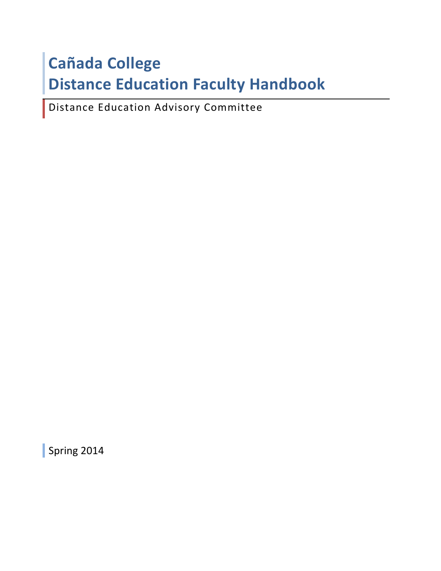# **Cañada College Distance Education Faculty Handbook**

Distance Education Advisory Committee

Spring 2014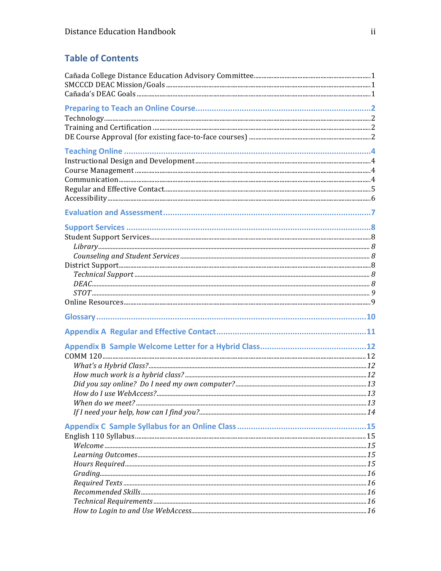# **Table of Contents**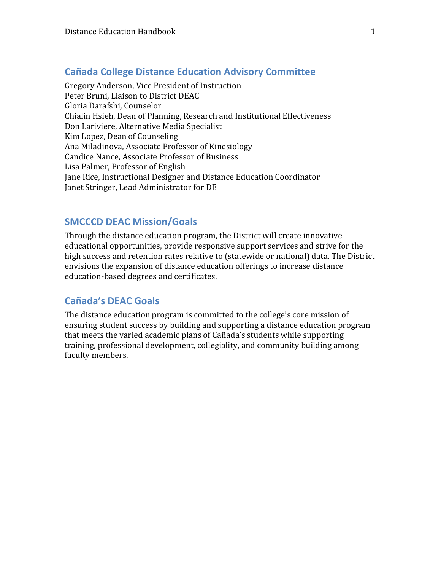# **Cañada College Distance Education Advisory Committee**

Gregory Anderson, Vice President of Instruction Peter Bruni, Liaison to District DEAC Gloria Darafshi, Counselor Chialin Hsieh, Dean of Planning, Research and Institutional Effectiveness Don Lariviere, Alternative Media Specialist Kim Lopez, Dean of Counseling Ana Miladinova, Associate Professor of Kinesiology Candice Nance, Associate Professor of Business Lisa Palmer, Professor of English Jane Rice, Instructional Designer and Distance Education Coordinator Janet Stringer, Lead Administrator for DE

# **SMCCCD DEAC Mission/Goals**

Through the distance education program, the District will create innovative educational opportunities, provide responsive support services and strive for the high success and retention rates relative to (statewide or national) data. The District envisions the expansion of distance education offerings to increase distance education-based degrees and certificates.

# **Cañada's DEAC Goals**

The distance education program is committed to the college's core mission of ensuring student success by building and supporting a distance education program that meets the varied academic plans of Cañada's students while supporting training, professional development, collegiality, and community building among faculty members.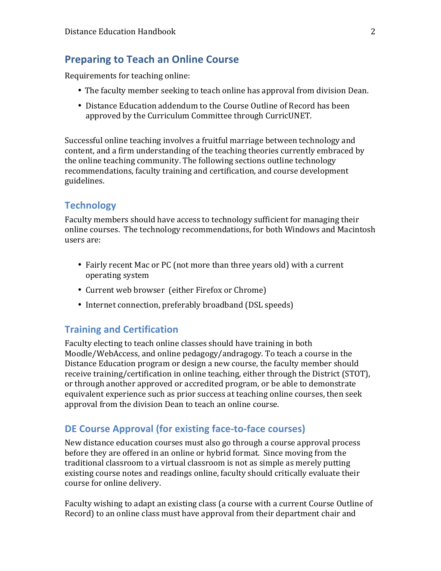# **Preparing to Teach an Online Course**

Requirements for teaching online:

- The faculty member seeking to teach online has approval from division Dean.
- Distance Education addendum to the Course Outline of Record has been approved by the Curriculum Committee through CurricUNET.

Successful online teaching involves a fruitful marriage between technology and content, and a firm understanding of the teaching theories currently embraced by the online teaching community. The following sections outline technology recommendations, faculty training and certification, and course development guidelines.

# **Technology**

Faculty members should have access to technology sufficient for managing their online courses. The technology recommendations, for both Windows and Macintosh users are:

- Fairly recent Mac or PC (not more than three years old) with a current operating system
- Current web browser (either Firefox or Chrome)
- Internet connection, preferably broadband (DSL speeds)

# **Training and Certification**

Faculty electing to teach online classes should have training in both Moodle/WebAccess, and online pedagogy/andragogy. To teach a course in the Distance Education program or design a new course, the faculty member should receive training/certification in online teaching, either through the District (STOT), or through another approved or accredited program, or be able to demonstrate equivalent experience such as prior success at teaching online courses, then seek approval from the division Dean to teach an online course.

# **DE Course Approval (for existing face-to-face courses)**

New distance education courses must also go through a course approval process before they are offered in an online or hybrid format. Since moving from the traditional classroom to a virtual classroom is not as simple as merely putting existing course notes and readings online, faculty should critically evaluate their course for online delivery.

Faculty wishing to adapt an existing class (a course with a current Course Outline of Record) to an online class must have approval from their department chair and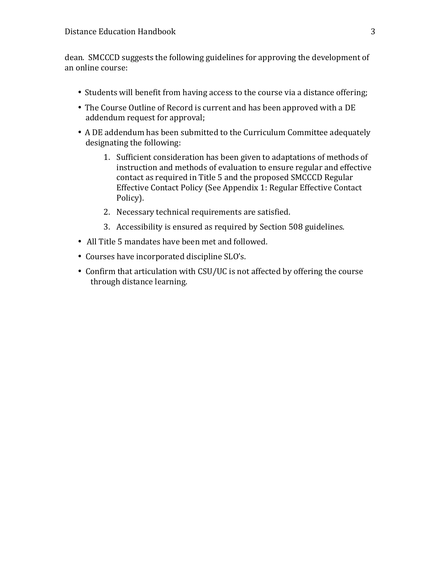dean. SMCCCD suggests the following guidelines for approving the development of an online course:

- Students will benefit from having access to the course via a distance offering;
- The Course Outline of Record is current and has been approved with a DE addendum request for approval;
- A DE addendum has been submitted to the Curriculum Committee adequately designating the following:
	- 1. Sufficient consideration has been given to adaptations of methods of instruction and methods of evaluation to ensure regular and effective contact as required in Title 5 and the proposed SMCCCD Regular Effective Contact Policy (See Appendix 1: Regular Effective Contact Policy).
	- 2. Necessary technical requirements are satisfied.
	- 3. Accessibility is ensured as required by Section 508 guidelines.
- All Title 5 mandates have been met and followed.
- Courses have incorporated discipline SLO's.
- Confirm that articulation with CSU/UC is not affected by offering the course through distance learning.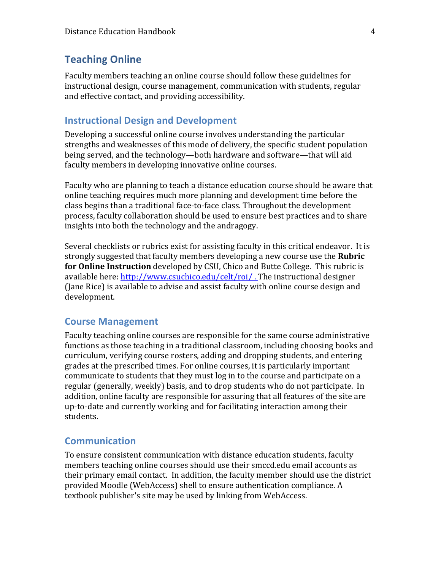# **Teaching Online**

Faculty members teaching an online course should follow these guidelines for instructional design, course management, communication with students, regular and effective contact, and providing accessibility.

# **Instructional Design and Development**

Developing a successful online course involves understanding the particular strengths and weaknesses of this mode of delivery, the specific student population being served, and the technology—both hardware and software—that will aid faculty members in developing innovative online courses.

Faculty who are planning to teach a distance education course should be aware that online teaching requires much more planning and development time before the class begins than a traditional face-to-face class. Throughout the development process, faculty collaboration should be used to ensure best practices and to share insights into both the technology and the andragogy.

Several checklists or rubrics exist for assisting faculty in this critical endeavor. It is strongly suggested that faculty members developing a new course use the **Rubric for Online Instruction** developed by CSU, Chico and Butte College. This rubric is available here: http://www.csuchico.edu/celt/roi/. The instructional designer (Jane Rice) is available to advise and assist faculty with online course design and development. 

#### **Course Management**

Faculty teaching online courses are responsible for the same course administrative functions as those teaching in a traditional classroom, including choosing books and curriculum, verifying course rosters, adding and dropping students, and entering grades at the prescribed times. For online courses, it is particularly important communicate to students that they must log in to the course and participate on a regular (generally, weekly) basis, and to drop students who do not participate. In addition, online faculty are responsible for assuring that all features of the site are up-to-date and currently working and for facilitating interaction among their students.

# **Communication**

To ensure consistent communication with distance education students, faculty members teaching online courses should use their smccd.edu email accounts as their primary email contact. In addition, the faculty member should use the district provided Moodle (WebAccess) shell to ensure authentication compliance. A textbook publisher's site may be used by linking from WebAccess.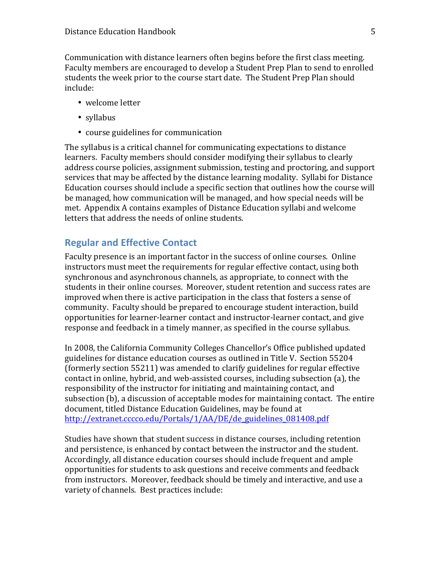Communication with distance learners often begins before the first class meeting. Faculty members are encouraged to develop a Student Prep Plan to send to enrolled students the week prior to the course start date. The Student Prep Plan should include:

- welcome letter
- syllabus
- course guidelines for communication

The syllabus is a critical channel for communicating expectations to distance learners. Faculty members should consider modifying their syllabus to clearly address course policies, assignment submission, testing and proctoring, and support services that may be affected by the distance learning modality. Syllabi for Distance Education courses should include a specific section that outlines how the course will be managed, how communication will be managed, and how special needs will be met. Appendix A contains examples of Distance Education syllabi and welcome letters that address the needs of online students.

# **Regular and Effective Contact**

Faculty presence is an important factor in the success of online courses. Online instructors must meet the requirements for regular effective contact, using both synchronous and asynchronous channels, as appropriate, to connect with the students in their online courses. Moreover, student retention and success rates are improved when there is active participation in the class that fosters a sense of community. Faculty should be prepared to encourage student interaction, build opportunities for learner-learner contact and instructor-learner contact, and give response and feedback in a timely manner, as specified in the course syllabus.

In 2008, the California Community Colleges Chancellor's Office published updated guidelines for distance education courses as outlined in Title V. Section 55204 (formerly section 55211) was amended to clarify guidelines for regular effective contact in online, hybrid, and web-assisted courses, including subsection (a), the responsibility of the instructor for initiating and maintaining contact, and subsection (b), a discussion of acceptable modes for maintaining contact. The entire document, titled Distance Education Guidelines, may be found at http://extranet.cccco.edu/Portals/1/AA/DE/de\_guidelines\_081408.pdf

Studies have shown that student success in distance courses, including retention and persistence, is enhanced by contact between the instructor and the student. Accordingly, all distance education courses should include frequent and ample opportunities for students to ask questions and receive comments and feedback from instructors. Moreover, feedback should be timely and interactive, and use a variety of channels. Best practices include: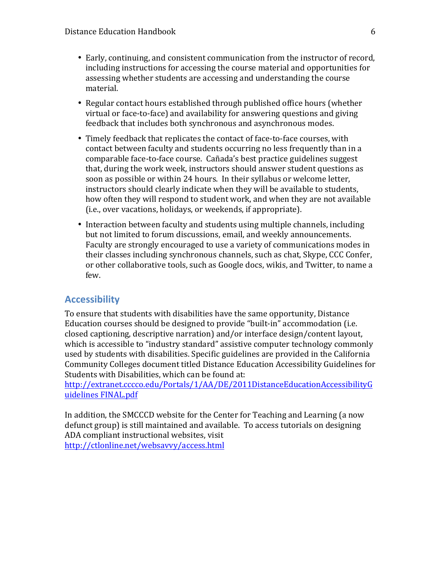- Early, continuing, and consistent communication from the instructor of record, including instructions for accessing the course material and opportunities for assessing whether students are accessing and understanding the course material.
- Regular contact hours established through published office hours (whether virtual or face-to-face) and availability for answering questions and giving feedback that includes both synchronous and asynchronous modes.
- Timely feedback that replicates the contact of face-to-face courses, with contact between faculty and students occurring no less frequently than in a comparable face-to-face course. Cañada's best practice guidelines suggest that, during the work week, instructors should answer student questions as soon as possible or within 24 hours. In their syllabus or welcome letter, instructors should clearly indicate when they will be available to students, how often they will respond to student work, and when they are not available (i.e., over vacations, holidays, or weekends, if appropriate).
- Interaction between faculty and students using multiple channels, including but not limited to forum discussions, email, and weekly announcements. Faculty are strongly encouraged to use a variety of communications modes in their classes including synchronous channels, such as chat, Skype, CCC Confer, or other collaborative tools, such as Google docs, wikis, and Twitter, to name a few.

# **Accessibility**

To ensure that students with disabilities have the same opportunity, Distance Education courses should be designed to provide "built-in" accommodation (i.e. closed captioning, descriptive narration) and/or interface design/content layout, which is accessible to "industry standard" assistive computer technology commonly used by students with disabilities. Specific guidelines are provided in the California Community Colleges document titled Distance Education Accessibility Guidelines for Students with Disabilities, which can be found at:

http://extranet.cccco.edu/Portals/1/AA/DE/2011DistanceEducationAccessibilityG uidelines FINAL.pdf

In addition, the SMCCCD website for the Center for Teaching and Learning (a now defunct group) is still maintained and available. To access tutorials on designing ADA compliant instructional websites, visit http://ctlonline.net/websavvy/access.html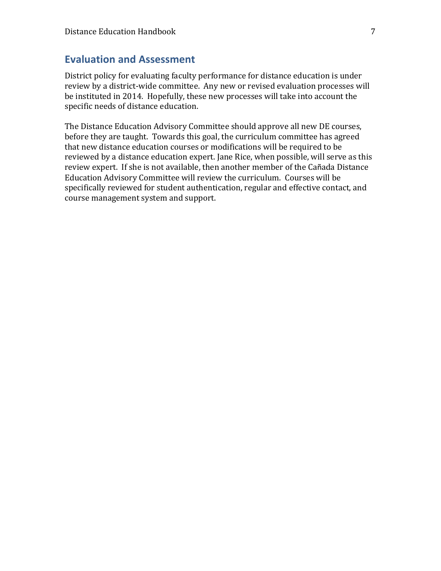# **Evaluation and Assessment**

District policy for evaluating faculty performance for distance education is under review by a district-wide committee. Any new or revised evaluation processes will be instituted in 2014. Hopefully, these new processes will take into account the specific needs of distance education.

The Distance Education Advisory Committee should approve all new DE courses, before they are taught. Towards this goal, the curriculum committee has agreed that new distance education courses or modifications will be required to be reviewed by a distance education expert. Jane Rice, when possible, will serve as this review expert. If she is not available, then another member of the Cañada Distance Education Advisory Committee will review the curriculum. Courses will be specifically reviewed for student authentication, regular and effective contact, and course management system and support.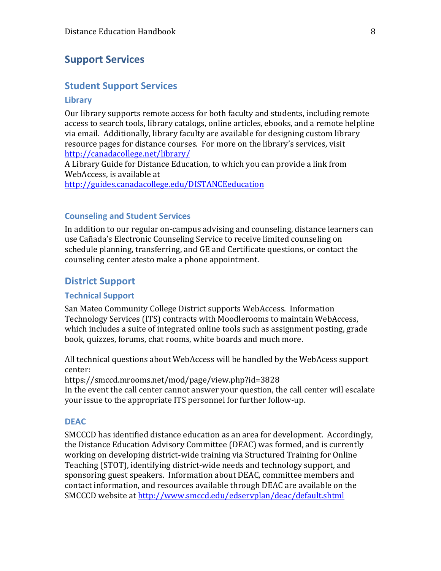# **Support Services**

# **Student Support Services**

#### **Library**

Our library supports remote access for both faculty and students, including remote access to search tools, library catalogs, online articles, ebooks, and a remote helpline via email. Additionally, library faculty are available for designing custom library resource pages for distance courses. For more on the library's services, visit http://canadacollege.net/library/

A Library Guide for Distance Education, to which you can provide a link from WebAccess, is available at

http://guides.canadacollege.edu/DISTANCEeducation

## **Counseling and Student Services**

In addition to our regular on-campus advising and counseling, distance learners can use Cañada's Electronic Counseling Service to receive limited counseling on schedule planning, transferring, and GE and Certificate questions, or contact the counseling center atesto make a phone appointment.

# **District Support**

#### **Technical Support**

San Mateo Community College District supports WebAccess. Information Technology Services (ITS) contracts with Moodlerooms to maintain WebAccess, which includes a suite of integrated online tools such as assignment posting, grade book, quizzes, forums, chat rooms, white boards and much more.

All technical questions about WebAccess will be handled by the WebAcess support center:

https://smccd.mrooms.net/mod/page/view.php?id=3828 In the event the call center cannot answer your question, the call center will escalate your issue to the appropriate ITS personnel for further follow-up.

#### **DEAC**

SMCCCD has identified distance education as an area for development. Accordingly, the Distance Education Advisory Committee (DEAC) was formed, and is currently working on developing district-wide training via Structured Training for Online Teaching (STOT), identifying district-wide needs and technology support, and sponsoring guest speakers. Information about DEAC, committee members and contact information, and resources available through DEAC are available on the SMCCCD website at http://www.smccd.edu/edservplan/deac/default.shtml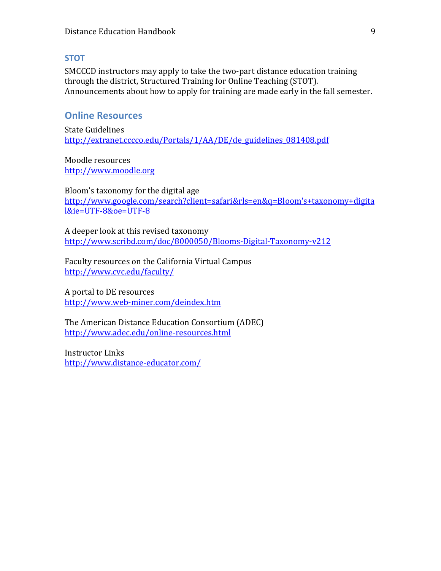# **STOT**

SMCCCD instructors may apply to take the two-part distance education training through the district, Structured Training for Online Teaching (STOT). Announcements about how to apply for training are made early in the fall semester.

# **Online Resources**

State Guidelines http://extranet.cccco.edu/Portals/1/AA/DE/de\_guidelines\_081408.pdf

Moodle resources http://www.moodle.org

Bloom's taxonomy for the digital age http://www.google.com/search?client=safari&rls=en&q=Bloom's+taxonomy+digita l&ie=UTF-8&oe=UTF-8

A deeper look at this revised taxonomy http://www.scribd.com/doc/8000050/Blooms-Digital-Taxonomy-v212

Faculty resources on the California Virtual Campus http://www.cvc.edu/faculty/

A portal to DE resources http://www.web-miner.com/deindex.htm

The American Distance Education Consortium (ADEC) http://www.adec.edu/online-resources.html

Instructor Links http://www.distance-educator.com/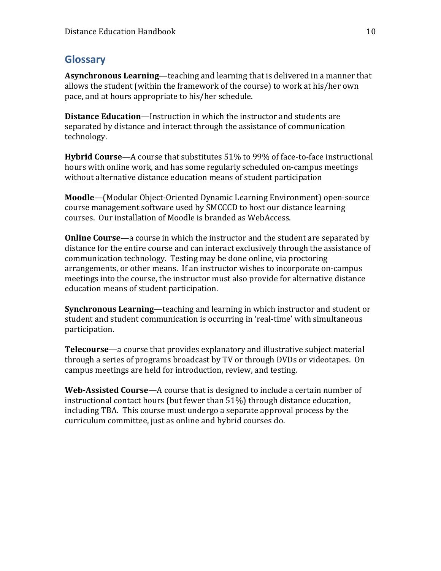# **Glossary**

**Asynchronous Learning**—teaching and learning that is delivered in a manner that allows the student (within the framework of the course) to work at his/her own pace, and at hours appropriate to his/her schedule.

**Distance Education**—Instruction in which the instructor and students are separated by distance and interact through the assistance of communication technology. 

**Hybrid Course**—A course that substitutes 51% to 99% of face-to-face instructional hours with online work, and has some regularly scheduled on-campus meetings without alternative distance education means of student participation

**Moodle**—(Modular Object-Oriented Dynamic Learning Environment) open-source course management software used by SMCCCD to host our distance learning courses. Our installation of Moodle is branded as WebAccess.

**Online Course**—a course in which the instructor and the student are separated by distance for the entire course and can interact exclusively through the assistance of communication technology. Testing may be done online, via proctoring arrangements, or other means. If an instructor wishes to incorporate on-campus meetings into the course, the instructor must also provide for alternative distance education means of student participation.

**Synchronous Learning**—teaching and learning in which instructor and student or student and student communication is occurring in 'real-time' with simultaneous participation. 

**Telecourse**—a course that provides explanatory and illustrative subject material through a series of programs broadcast by TV or through DVDs or videotapes. On campus meetings are held for introduction, review, and testing.

**Web-Assisted Course**—A course that is designed to include a certain number of instructional contact hours (but fewer than  $51\%$ ) through distance education, including TBA. This course must undergo a separate approval process by the curriculum committee, just as online and hybrid courses do.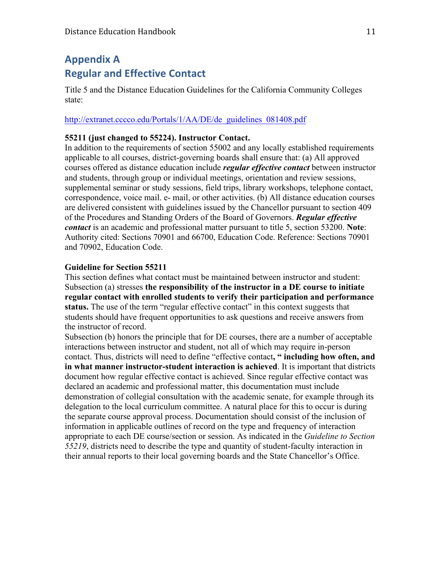# **Appendix A Regular and Effective Contact**

Title 5 and the Distance Education Guidelines for the California Community Colleges state:

#### http://extranet.cccco.edu/Portals/1/AA/DE/de\_guidelines\_081408.pdf

#### **55211 (just changed to 55224). Instructor Contact.**

In addition to the requirements of section 55002 and any locally established requirements applicable to all courses, district-governing boards shall ensure that: (a) All approved courses offered as distance education include *regular effective contact* between instructor and students, through group or individual meetings, orientation and review sessions, supplemental seminar or study sessions, field trips, library workshops, telephone contact, correspondence, voice mail. e- mail, or other activities. (b) All distance education courses are delivered consistent with guidelines issued by the Chancellor pursuant to section 409 of the Procedures and Standing Orders of the Board of Governors. *Regular effective contact* is an academic and professional matter pursuant to title 5, section 53200. **Note**: Authority cited: Sections 70901 and 66700, Education Code. Reference: Sections 70901 and 70902, Education Code.

## **Guideline for Section 55211**

This section defines what contact must be maintained between instructor and student: Subsection (a) stresses **the responsibility of the instructor in a DE course to initiate regular contact with enrolled students to verify their participation and performance status.** The use of the term "regular effective contact" in this context suggests that students should have frequent opportunities to ask questions and receive answers from the instructor of record.

Subsection (b) honors the principle that for DE courses, there are a number of acceptable interactions between instructor and student, not all of which may require in-person contact. Thus, districts will need to define "effective contact**, " including how often, and in what manner instructor-student interaction is achieved**. It is important that districts document how regular effective contact is achieved. Since regular effective contact was declared an academic and professional matter, this documentation must include demonstration of collegial consultation with the academic senate, for example through its delegation to the local curriculum committee. A natural place for this to occur is during the separate course approval process. Documentation should consist of the inclusion of information in applicable outlines of record on the type and frequency of interaction appropriate to each DE course/section or session. As indicated in the *Guideline to Section 55219*, districts need to describe the type and quantity of student-faculty interaction in their annual reports to their local governing boards and the State Chancellor's Office.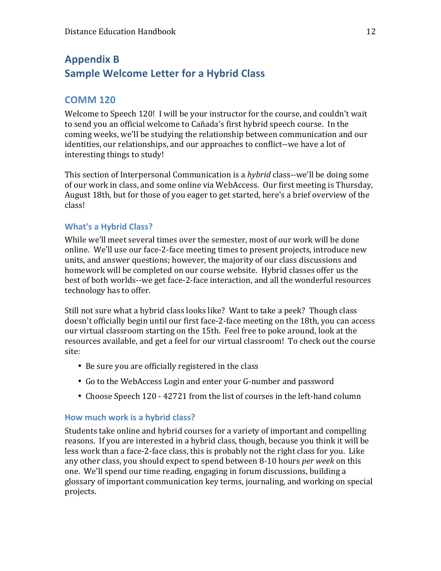# **Appendix B Sample Welcome Letter for a Hybrid Class**

# **COMM 120**

Welcome to Speech 120! I will be your instructor for the course, and couldn't wait to send you an official welcome to Cañada's first hybrid speech course. In the coming weeks, we'll be studying the relationship between communication and our identities, our relationships, and our approaches to conflict--we have a lot of interesting things to study!

This section of Interpersonal Communication is a *hybrid* class--we'll be doing some of our work in class, and some online via WebAccess. Our first meeting is Thursday, August 18th, but for those of you eager to get started, here's a brief overview of the class!

# **What's a Hybrid Class?**

While we'll meet several times over the semester, most of our work will be done online. We'll use our face-2-face meeting times to present projects, introduce new units, and answer questions; however, the majority of our class discussions and homework will be completed on our course website. Hybrid classes offer us the best of both worlds--we get face-2-face interaction, and all the wonderful resources technology has to offer.

Still not sure what a hybrid class looks like? Want to take a peek? Though class doesn't officially begin until our first face-2-face meeting on the 18th, you can access our virtual classroom starting on the 15th. Feel free to poke around, look at the resources available, and get a feel for our virtual classroom! To check out the course site:

- Be sure you are officially registered in the class
- Go to the WebAccess Login and enter your G-number and password
- Choose Speech 120 42721 from the list of courses in the left-hand column

# How much work is a hybrid class?

Students take online and hybrid courses for a variety of important and compelling reasons. If you are interested in a hybrid class, though, because you think it will be less work than a face-2-face class, this is probably not the right class for you. Like any other class, you should expect to spend between 8-10 hours *per week* on this one. We'll spend our time reading, engaging in forum discussions, building a glossary of important communication key terms, journaling, and working on special projects.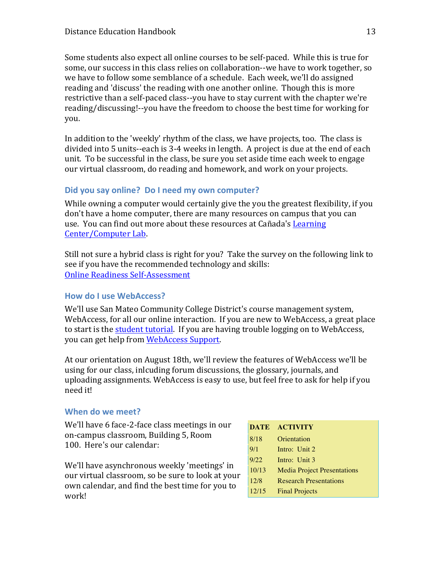Some students also expect all online courses to be self-paced. While this is true for some, our success in this class relies on collaboration--we have to work together, so we have to follow some semblance of a schedule. Each week, we'll do assigned reading and 'discuss' the reading with one another online. Though this is more restrictive than a self-paced class--you have to stay current with the chapter we're reading/discussing!--you have the freedom to choose the best time for working for you.

In addition to the 'weekly' rhythm of the class, we have projects, too. The class is divided into 5 units--each is 3-4 weeks in length. A project is due at the end of each unit. To be successful in the class, be sure you set aside time each week to engage our virtual classroom, do reading and homework, and work on your projects.

# **Did you say online? Do I need my own computer?**

While owning a computer would certainly give the you the greatest flexibility, if you don't have a home computer, there are many resources on campus that you can use. You can find out more about these resources at Cañada's Learning Center/Computer Lab.

Still not sure a hybrid class is right for you? Take the survey on the following link to see if you have the recommended technology and skills: **Online Readiness Self-Assessment** 

# **How do I use WebAccess?**

We'll use San Mateo Community College District's course management system, WebAccess, for all our online interaction. If you are new to WebAccess, a great place to start is the student tutorial. If you are having trouble logging on to WebAccess, you can get help from WebAccess Support.

At our orientation on August 18th, we'll review the features of WebAccess we'll be using for our class, inlcuding forum discussions, the glossary, journals, and uploading assignments. WebAccess is easy to use, but feel free to ask for help if you need it!

# When do we meet?

We'll have 6 face-2-face class meetings in our on-campus classroom, Building 5, Room 100. Here's our calendar:

We'll have asynchronous weekly 'meetings' in our virtual classroom, so be sure to look at your own calendar, and find the best time for you to work!

|       | DATE ACTIVITY                      |
|-------|------------------------------------|
| 8/18  | Orientation                        |
| 9/1   | Intro: Unit 2                      |
| 9/22  | Intro: Unit 3                      |
| 10/13 | <b>Media Project Presentations</b> |
| 12/8  | <b>Research Presentations</b>      |
| 12/15 | <b>Final Projects</b>              |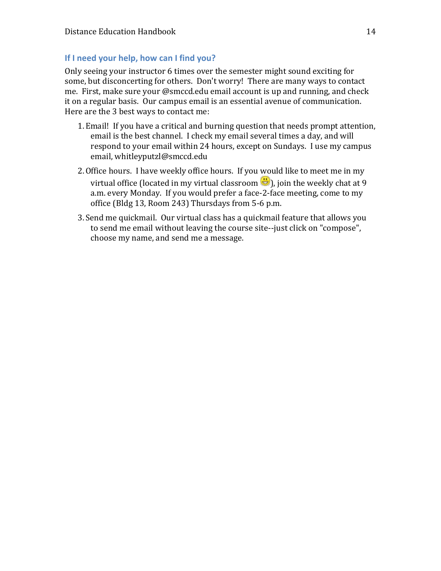# **If I need your help, how can I find you?**

Only seeing your instructor 6 times over the semester might sound exciting for some, but disconcerting for others. Don't worry! There are many ways to contact me. First, make sure your @smccd.edu email account is up and running, and check it on a regular basis. Our campus email is an essential avenue of communication. Here are the 3 best ways to contact me:

- 1. Email! If you have a critical and burning question that needs prompt attention, email is the best channel. I check my email several times a day, and will respond to your email within 24 hours, except on Sundays. I use my campus email, whitleyputzl@smccd.edu
- 2. Office hours. I have weekly office hours. If you would like to meet me in my virtual office (located in my virtual classroom  $\bigoplus$ ), join the weekly chat at 9 a.m. every Monday. If you would prefer a face-2-face meeting, come to my office (Bldg 13, Room 243) Thursdays from 5-6 p.m.
- 3. Send me quickmail. Our virtual class has a quickmail feature that allows you to send me email without leaving the course site--just click on "compose", choose my name, and send me a message.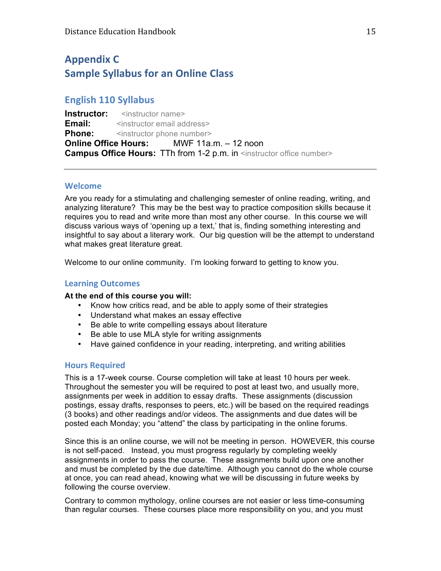# **Appendix C Sample Syllabus for an Online Class**

# **English 110 Syllabus**

**Instructor:** <instructor name> **Email:**  $\leq$  <instructor email address> **Phone:**  $\leq$  instructor phone number> **Online Office Hours:** MWF 11a.m. – 12 noon **Campus Office Hours:** TTh from 1-2 p.m. in <instructor office number>

#### **Welcome**

Are you ready for a stimulating and challenging semester of online reading, writing, and analyzing literature? This may be the best way to practice composition skills because it requires you to read and write more than most any other course. In this course we will discuss various ways of 'opening up a text,' that is, finding something interesting and insightful to say about a literary work. Our big question will be the attempt to understand what makes great literature great.

Welcome to our online community. I'm looking forward to getting to know you.

## **Learning Outcomes**

#### **At the end of this course you will:**

- Know how critics read, and be able to apply some of their strategies
- Understand what makes an essay effective
- Be able to write compelling essays about literature
- Be able to use MLA style for writing assignments
- Have gained confidence in your reading, interpreting, and writing abilities

#### **Hours Required**

This is a 17-week course. Course completion will take at least 10 hours per week. Throughout the semester you will be required to post at least two, and usually more, assignments per week in addition to essay drafts. These assignments (discussion postings, essay drafts, responses to peers, etc.) will be based on the required readings (3 books) and other readings and/or videos. The assignments and due dates will be posted each Monday; you "attend" the class by participating in the online forums.

Since this is an online course, we will not be meeting in person. HOWEVER, this course is not self-paced. Instead, you must progress regularly by completing weekly assignments in order to pass the course. These assignments build upon one another and must be completed by the due date/time. Although you cannot do the whole course at once, you can read ahead, knowing what we will be discussing in future weeks by following the course overview.

Contrary to common mythology, online courses are not easier or less time-consuming than regular courses. These courses place more responsibility on you, and you must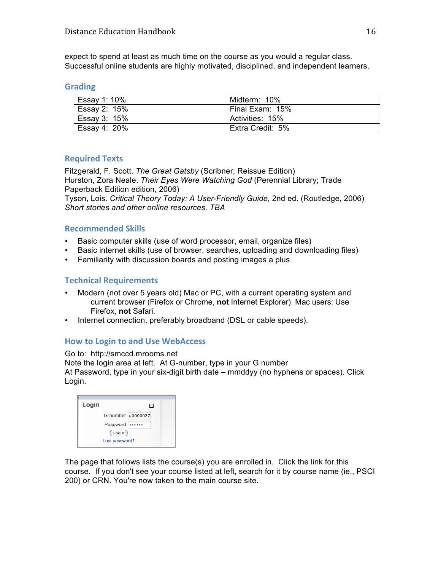expect to spend at least as much time on the course as you would a regular class. Successful online students are highly motivated, disciplined, and independent learners.

#### **Grading**

| Essay 1: 10% | Midterm: 10%     |
|--------------|------------------|
| Essay 2: 15% | Final Exam: 15%  |
| Essay 3: 15% | Activities: 15%  |
| Essay 4: 20% | Extra Credit: 5% |

#### **Required Texts**

Fitzgerald, F. Scott. *The Great Gatsby* (Scribner; Reissue Edition) Hurston, Zora Neale. *Their Eyes Were Watching God* (Perennial Library; Trade Paperback Edition edition, 2006)

Tyson, Lois. *Critical Theory Today: A User-Friendly Guide*, 2nd ed. (Routledge, 2006) *Short stories and other online resources, TBA*

#### **Recommended Skills**

- Basic computer skills (use of word processor, email, organize files)
- Basic internet skills (use of browser, searches, uploading and downloading files)
- Familiarity with discussion boards and posting images a plus

## **Technical Requirements**

- Modern (not over 5 years old) Mac or PC, with a current operating system and current browser (Firefox or Chrome, **not** Internet Explorer). Mac users: Use Firefox, **not** Safari.
- Internet connection, preferably broadband (DSL or cable speeds).

# **How to Login to and Use WebAccess**

Go to: http://smccd.mrooms.net Note the login area at left. At G-number, type in your G number At Password, type in your six-digit birth date – mmddyy (no hyphens or spaces). Click Login.

| Login          |                   | $\overline{ }$ |
|----------------|-------------------|----------------|
|                | G-number g0000027 |                |
|                | Password          |                |
| Login          |                   |                |
| Lost password? |                   |                |

The page that follows lists the course(s) you are enrolled in. Click the link for this course. If you don't see your course listed at left, search for it by course name (ie., PSCI 200) or CRN. You're now taken to the main course site.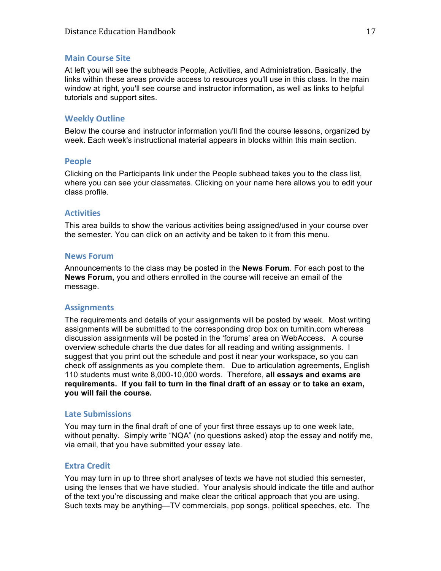#### **Main Course Site**

At left you will see the subheads People, Activities, and Administration. Basically, the links within these areas provide access to resources you'll use in this class. In the main window at right, you'll see course and instructor information, as well as links to helpful tutorials and support sites.

## **Weekly Outline**

Below the course and instructor information you'll find the course lessons, organized by week. Each week's instructional material appears in blocks within this main section.

#### **People**

Clicking on the Participants link under the People subhead takes you to the class list, where you can see your classmates. Clicking on your name here allows you to edit your class profile.

#### **Activities**

This area builds to show the various activities being assigned/used in your course over the semester. You can click on an activity and be taken to it from this menu.

#### **News Forum**

Announcements to the class may be posted in the **News Forum**. For each post to the **News Forum,** you and others enrolled in the course will receive an email of the message.

#### **Assignments**

The requirements and details of your assignments will be posted by week. Most writing assignments will be submitted to the corresponding drop box on turnitin.com whereas discussion assignments will be posted in the 'forums' area on WebAccess. A course overview schedule charts the due dates for all reading and writing assignments. I suggest that you print out the schedule and post it near your workspace, so you can check off assignments as you complete them. Due to articulation agreements, English 110 students must write 8,000-10,000 words. Therefore, **all essays and exams are requirements. If you fail to turn in the final draft of an essay or to take an exam, you will fail the course.**

#### **Late Submissions**

You may turn in the final draft of one of your first three essays up to one week late, without penalty. Simply write "NQA" (no questions asked) atop the essay and notify me, via email, that you have submitted your essay late.

#### **Extra Credit**

You may turn in up to three short analyses of texts we have not studied this semester, using the lenses that we have studied. Your analysis should indicate the title and author of the text you're discussing and make clear the critical approach that you are using. Such texts may be anything—TV commercials, pop songs, political speeches, etc. The